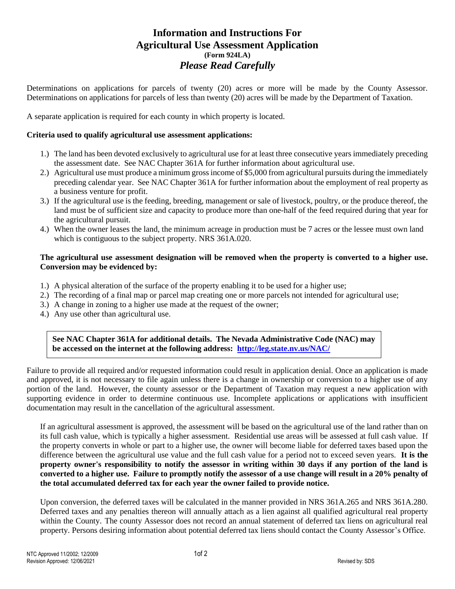# **Information and Instructions For Agricultural Use Assessment Application (Form 924LA)** *Please Read Carefully*

Determinations on applications for parcels of twenty (20) acres or more will be made by the County Assessor. Determinations on applications for parcels of less than twenty (20) acres will be made by the Department of Taxation.

A separate application is required for each county in which property is located.

## **Criteria used to qualify agricultural use assessment applications:**

- 1.) The land has been devoted exclusively to agricultural use for at least three consecutive years immediately preceding the assessment date. See NAC Chapter 361A for further information about agricultural use.
- 2.) Agricultural use must produce a minimum gross income of \$5,000 from agricultural pursuits during the immediately preceding calendar year. See NAC Chapter 361A for further information about the employment of real property as a business venture for profit.
- 3.) If the agricultural use is the feeding, breeding, management or sale of livestock, poultry, or the produce thereof, the land must be of sufficient size and capacity to produce more than one-half of the feed required during that year for the agricultural pursuit.
- 4.) When the owner leases the land, the minimum acreage in production must be 7 acres or the lessee must own land which is contiguous to the subject property. NRS 361A.020.

## **The agricultural use assessment designation will be removed when the property is converted to a higher use. Conversion may be evidenced by:**

- 1.) A physical alteration of the surface of the property enabling it to be used for a higher use;
- 2.) The recording of a final map or parcel map creating one or more parcels not intended for agricultural use;
- 3.) A change in zoning to a higher use made at the request of the owner;
- 4.) Any use other than agricultural use.

**See NAC Chapter 361A for additional details. The Nevada Administrative Code (NAC) may be accessed on the internet at the following address: <http://leg.state.nv.us/NAC/>**

Failure to provide all required and/or requested information could result in application denial. Once an application is made and approved, it is not necessary to file again unless there is a change in ownership or conversion to a higher use of any portion of the land. However, the county assessor or the Department of Taxation may request a new application with supporting evidence in order to determine continuous use. Incomplete applications or applications with insufficient documentation may result in the cancellation of the agricultural assessment.

If an agricultural assessment is approved, the assessment will be based on the agricultural use of the land rather than on its full cash value, which is typically a higher assessment. Residential use areas will be assessed at full cash value. If the property converts in whole or part to a higher use, the owner will become liable for deferred taxes based upon the difference between the agricultural use value and the full cash value for a period not to exceed seven years. **It is the property owner's responsibility to notify the assessor in writing within 30 days if any portion of the land is converted to a higher use. Failure to promptly notify the assessor of a use change will result in a 20% penalty of the total accumulated deferred tax for each year the owner failed to provide notice.** 

Upon conversion, the deferred taxes will be calculated in the manner provided in NRS 361A.265 and NRS 361A.280. Deferred taxes and any penalties thereon will annually attach as a lien against all qualified agricultural real property within the County. The county Assessor does not record an annual statement of deferred tax liens on agricultural real property. Persons desiring information about potential deferred tax liens should contact the County Assessor's Office.